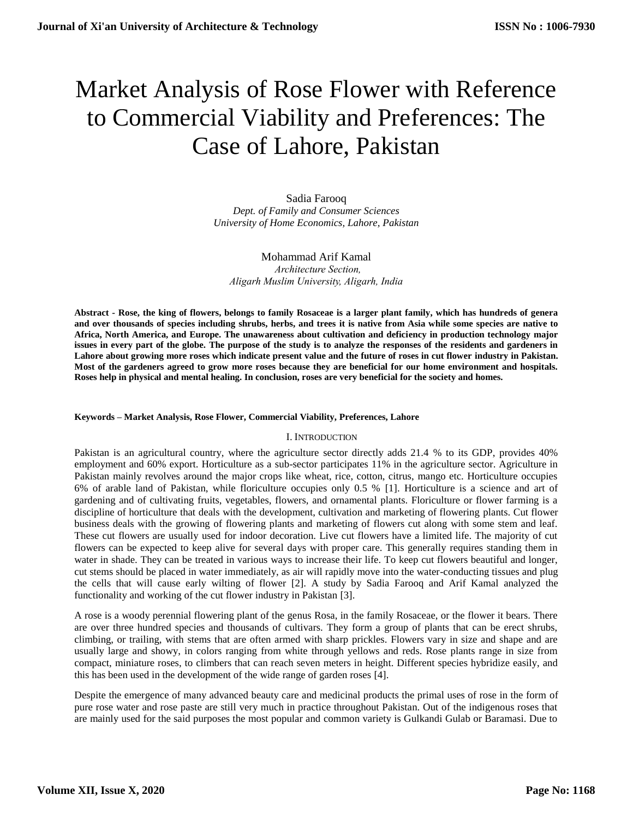# Market Analysis of Rose Flower with Reference to Commercial Viability and Preferences: The Case of Lahore, Pakistan

Sadia Farooq *Dept. of Family and Consumer Sciences University of Home Economics, Lahore, Pakistan*

Mohammad Arif Kamal  *Architecture Section, Aligarh Muslim University, Aligarh, India*

**Abstract - Rose, the king of flowers, belongs to family Rosaceae is a larger plant family, which has hundreds of genera and over thousands of species including shrubs, herbs, and trees it is native from Asia while some species are native to Africa, North America, and Europe. The unawareness about cultivation and deficiency in production technology major issues in every part of the globe. The purpose of the study is to analyze the responses of the residents and gardeners in Lahore about growing more roses which indicate present value and the future of roses in cut flower industry in Pakistan. Most of the gardeners agreed to grow more roses because they are beneficial for our home environment and hospitals. Roses help in physical and mental healing. In conclusion, roses are very beneficial for the society and homes.** 

#### **Keywords – Market Analysis, Rose Flower, Commercial Viability, Preferences, Lahore**

#### I. INTRODUCTION

Pakistan is an agricultural country, where the agriculture sector directly adds 21.4 % to its GDP, provides 40% employment and 60% export. Horticulture as a sub-sector participates 11% in the agriculture sector. Agriculture in Pakistan mainly revolves around the major crops like wheat, rice, cotton, citrus, mango etc. Horticulture occupies 6% of arable land of Pakistan, while floriculture occupies only 0.5 % [1]. Horticulture is a science and art of gardening and of cultivating fruits, vegetables, flowers, and ornamental plants. Floriculture or flower farming is a discipline of horticulture that deals with the development, cultivation and marketing of flowering plants. Cut flower business deals with the growing of flowering plants and marketing of flowers cut along with some stem and leaf. These cut flowers are usually used for indoor decoration. Live cut flowers have a limited life. The majority of cut flowers can be expected to keep alive for several days with proper care. This generally requires standing them in water in shade. They can be treated in various ways to increase their life. To keep cut flowers beautiful and longer, cut stems should be placed in water immediately, as air will rapidly move into the water-conducting tissues and plug the cells that will cause early wilting of flower [2]. A study by Sadia Farooq and Arif Kamal analyzed the functionality and working of the cut flower industry in Pakistan [3].

A rose is a woody perennial flowering plant of the genus Rosa, in the family Rosaceae, or the flower it bears. There are over three hundred species and thousands of cultivars. They form a group of plants that can be erect shrubs, climbing, or trailing, with stems that are often armed with sharp prickles. Flowers vary in size and shape and are usually large and showy, in colors ranging from white through yellows and reds. Rose plants range in size from compact, miniature roses, to climbers that can reach seven meters in height. Different species hybridize easily, and this has been used in the development of the wide range of garden roses [4].

Despite the emergence of many advanced beauty care and medicinal products the primal uses of rose in the form of pure rose water and rose paste are still very much in practice throughout Pakistan. Out of the indigenous roses that are mainly used for the said purposes the most popular and common variety is Gulkandi Gulab or Baramasi. Due to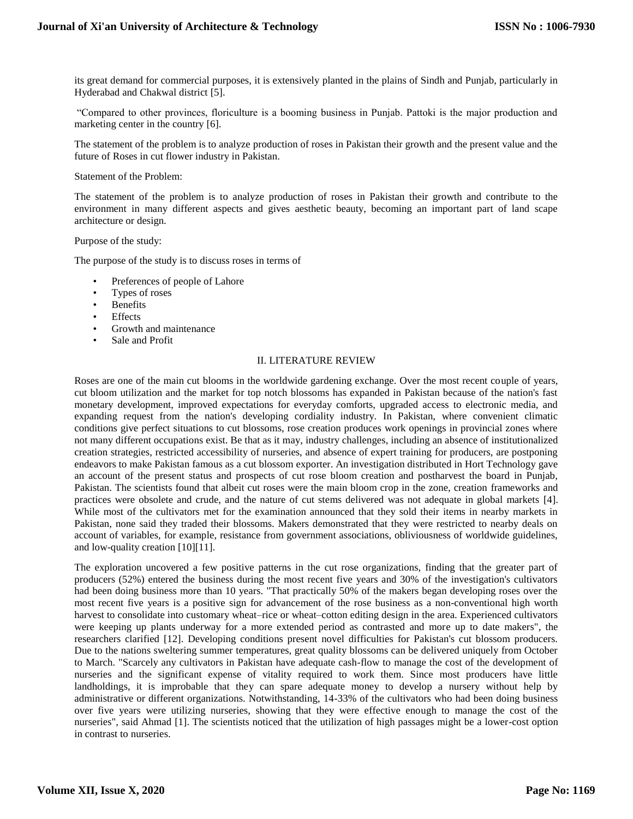its great demand for commercial purposes, it is extensively planted in the plains of Sindh and Punjab, particularly in Hyderabad and Chakwal district [5].

"Compared to other provinces, floriculture is a booming business in Punjab. Pattoki is the major production and marketing center in the country [6].

The statement of the problem is to analyze production of roses in Pakistan their growth and the present value and the future of Roses in cut flower industry in Pakistan.

#### Statement of the Problem:

The statement of the problem is to analyze production of roses in Pakistan their growth and contribute to the environment in many different aspects and gives aesthetic beauty, becoming an important part of land scape architecture or design.

Purpose of the study:

The purpose of the study is to discuss roses in terms of

- Preferences of people of Lahore
- Types of roses
- Benefits
- **Effects**
- Growth and maintenance
- Sale and Profit

#### II. LITERATURE REVIEW

Roses are one of the main cut blooms in the worldwide gardening exchange. Over the most recent couple of years, cut bloom utilization and the market for top notch blossoms has expanded in Pakistan because of the nation's fast monetary development, improved expectations for everyday comforts, upgraded access to electronic media, and expanding request from the nation's developing cordiality industry. In Pakistan, where convenient climatic conditions give perfect situations to cut blossoms, rose creation produces work openings in provincial zones where not many different occupations exist. Be that as it may, industry challenges, including an absence of institutionalized creation strategies, restricted accessibility of nurseries, and absence of expert training for producers, are postponing endeavors to make Pakistan famous as a cut blossom exporter. An investigation distributed in Hort Technology gave an account of the present status and prospects of cut rose bloom creation and postharvest the board in Punjab, Pakistan. The scientists found that albeit cut roses were the main bloom crop in the zone, creation frameworks and practices were obsolete and crude, and the nature of cut stems delivered was not adequate in global markets [4]. While most of the cultivators met for the examination announced that they sold their items in nearby markets in Pakistan, none said they traded their blossoms. Makers demonstrated that they were restricted to nearby deals on account of variables, for example, resistance from government associations, obliviousness of worldwide guidelines, and low-quality creation [10][11].

The exploration uncovered a few positive patterns in the cut rose organizations, finding that the greater part of producers (52%) entered the business during the most recent five years and 30% of the investigation's cultivators had been doing business more than 10 years. "That practically 50% of the makers began developing roses over the most recent five years is a positive sign for advancement of the rose business as a non-conventional high worth harvest to consolidate into customary wheat–rice or wheat–cotton editing design in the area. Experienced cultivators were keeping up plants underway for a more extended period as contrasted and more up to date makers", the researchers clarified [12]. Developing conditions present novel difficulties for Pakistan's cut blossom producers. Due to the nations sweltering summer temperatures, great quality blossoms can be delivered uniquely from October to March. "Scarcely any cultivators in Pakistan have adequate cash-flow to manage the cost of the development of nurseries and the significant expense of vitality required to work them. Since most producers have little landholdings, it is improbable that they can spare adequate money to develop a nursery without help by administrative or different organizations. Notwithstanding, 14-33% of the cultivators who had been doing business over five years were utilizing nurseries, showing that they were effective enough to manage the cost of the nurseries", said Ahmad [1]. The scientists noticed that the utilization of high passages might be a lower-cost option in contrast to nurseries.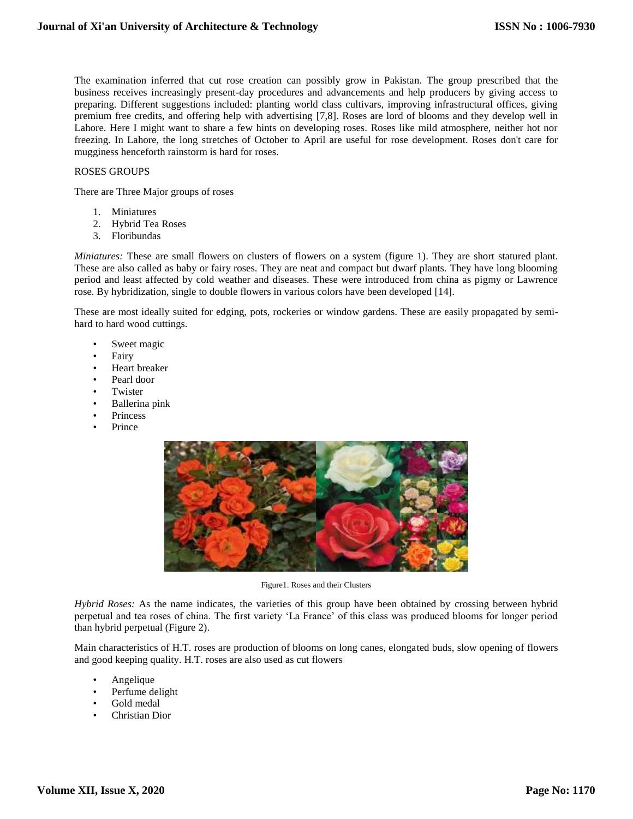The examination inferred that cut rose creation can possibly grow in Pakistan. The group prescribed that the business receives increasingly present-day procedures and advancements and help producers by giving access to preparing. Different suggestions included: planting world class cultivars, improving infrastructural offices, giving premium free credits, and offering help with advertising [7,8]. Roses are lord of blooms and they develop well in Lahore. Here I might want to share a few hints on developing roses. Roses like mild atmosphere, neither hot nor freezing. In Lahore, the long stretches of October to April are useful for rose development. Roses don't care for mugginess henceforth rainstorm is hard for roses.

# ROSES GROUPS

There are Three Major groups of roses

- 1. Miniatures
- 2. Hybrid Tea Roses
- 3. Floribundas

*Miniatures:* These are small flowers on clusters of flowers on a system (figure 1). They are short statured plant. These are also called as baby or fairy roses. They are neat and compact but dwarf plants. They have long blooming period and least affected by cold weather and diseases. These were introduced from china as pigmy or Lawrence rose. By hybridization, single to double flowers in various colors have been developed [14].

These are most ideally suited for edging, pots, rockeries or window gardens. These are easily propagated by semihard to hard wood cuttings.

- Sweet magic
- **Fairy**
- Heart breaker
- Pearl door
- **Twister**
- Ballerina pink
- **Princess**
- **Prince**



Figure1. Roses and their Clusters

*Hybrid Roses:* As the name indicates, the varieties of this group have been obtained by crossing between hybrid perpetual and tea roses of china. The first variety 'La France' of this class was produced blooms for longer period than hybrid perpetual (Figure 2).

Main characteristics of H.T. roses are production of blooms on long canes, elongated buds, slow opening of flowers and good keeping quality. H.T. roses are also used as cut flowers

- Angelique
- Perfume delight
- Gold medal
- Christian Dior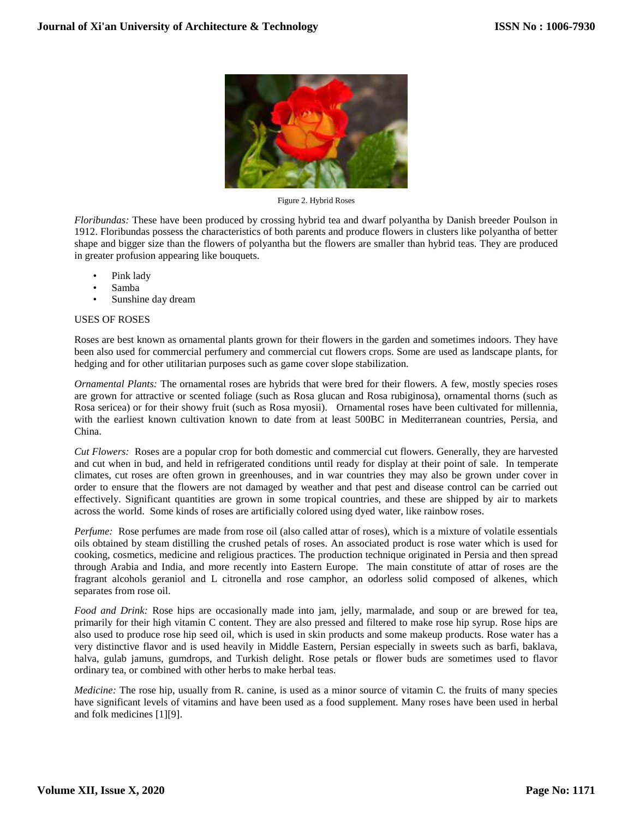

Figure 2. Hybrid Roses

*Floribundas:* These have been produced by crossing hybrid tea and dwarf polyantha by Danish breeder Poulson in 1912. Floribundas possess the characteristics of both parents and produce flowers in clusters like polyantha of better shape and bigger size than the flowers of polyantha but the flowers are smaller than hybrid teas. They are produced in greater profusion appearing like bouquets.

- Pink lady
- Samba
- Sunshine day dream

# USES OF ROSES

Roses are best known as ornamental plants grown for their flowers in the garden and sometimes indoors. They have been also used for commercial perfumery and commercial cut flowers crops. Some are used as landscape plants, for hedging and for other utilitarian purposes such as game cover slope stabilization.

*Ornamental Plants:* The ornamental roses are hybrids that were bred for their flowers. A few, mostly species roses are grown for attractive or scented foliage (such as Rosa glucan and Rosa rubiginosa), ornamental thorns (such as Rosa sericea) or for their showy fruit (such as Rosa myosii). Ornamental roses have been cultivated for millennia, with the earliest known cultivation known to date from at least 500BC in Mediterranean countries, Persia, and China.

*Cut Flowers:* Roses are a popular crop for both domestic and commercial cut flowers. Generally, they are harvested and cut when in bud, and held in refrigerated conditions until ready for display at their point of sale. In temperate climates, cut roses are often grown in greenhouses, and in war countries they may also be grown under cover in order to ensure that the flowers are not damaged by weather and that pest and disease control can be carried out effectively. Significant quantities are grown in some tropical countries, and these are shipped by air to markets across the world. Some kinds of roses are artificially colored using dyed water, like rainbow roses.

*Perfume:* Rose perfumes are made from rose oil (also called attar of roses), which is a mixture of volatile essentials oils obtained by steam distilling the crushed petals of roses. An associated product is rose water which is used for cooking, cosmetics, medicine and religious practices. The production technique originated in Persia and then spread through Arabia and India, and more recently into Eastern Europe. The main constitute of attar of roses are the fragrant alcohols geraniol and L citronella and rose camphor, an odorless solid composed of alkenes, which separates from rose oil.

*Food and Drink:* Rose hips are occasionally made into jam, jelly, marmalade, and soup or are brewed for tea, primarily for their high vitamin C content. They are also pressed and filtered to make rose hip syrup. Rose hips are also used to produce rose hip seed oil, which is used in skin products and some makeup products. Rose water has a very distinctive flavor and is used heavily in Middle Eastern, Persian especially in sweets such as barfi, baklava, halva, gulab jamuns, gumdrops, and Turkish delight. Rose petals or flower buds are sometimes used to flavor ordinary tea, or combined with other herbs to make herbal teas.

*Medicine:* The rose hip, usually from R. canine, is used as a minor source of vitamin C. the fruits of many species have significant levels of vitamins and have been used as a food supplement. Many roses have been used in herbal and folk medicines [1][9].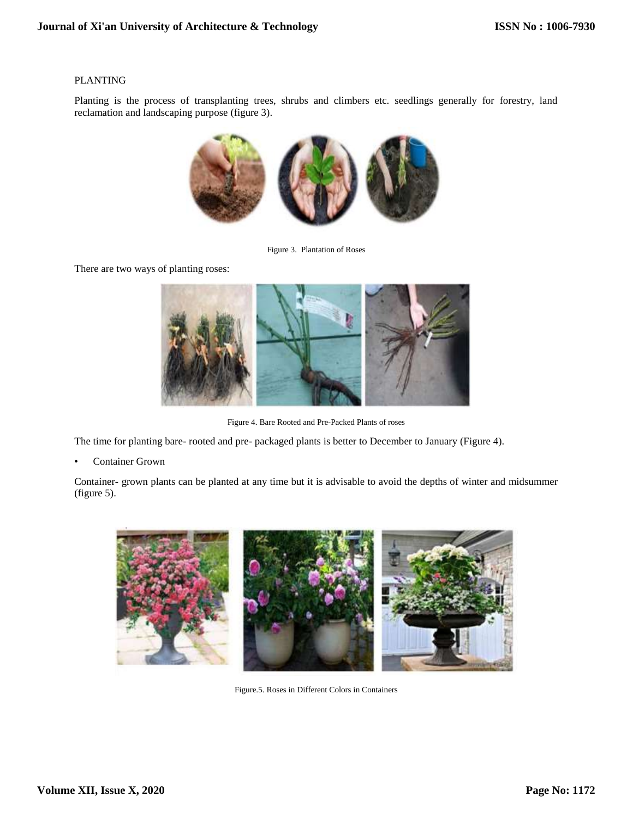# PLANTING

Planting is the process of transplanting trees, shrubs and climbers etc. seedlings generally for forestry, land reclamation and landscaping purpose (figure 3).



Figure 3. Plantation of Roses

There are two ways of planting roses:



Figure 4. Bare Rooted and Pre-Packed Plants of roses

The time for planting bare- rooted and pre- packaged plants is better to December to January (Figure 4).

Container Grown

Container- grown plants can be planted at any time but it is advisable to avoid the depths of winter and midsummer (figure 5).



Figure.5. Roses in Different Colors in Containers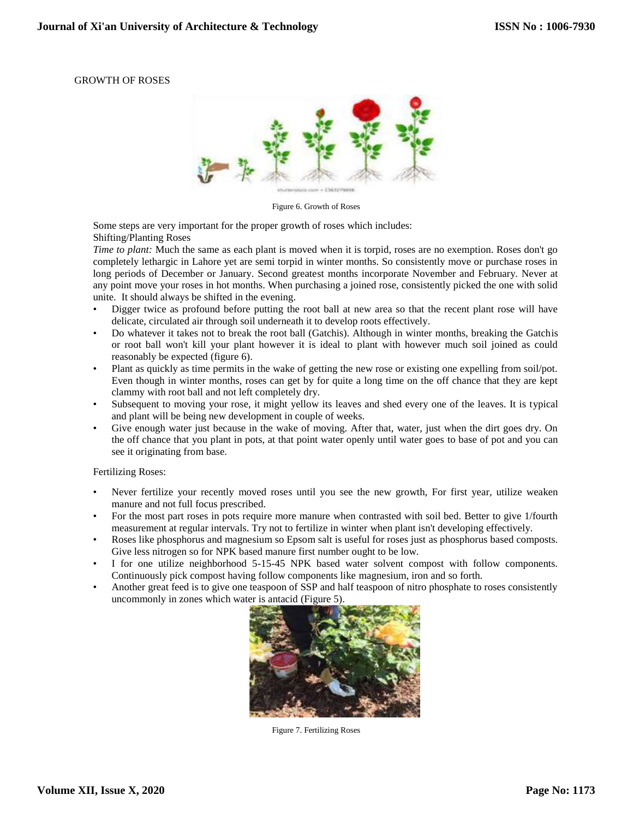# GROWTH OF ROSES



Figure 6. Growth of Roses

Some steps are very important for the proper growth of roses which includes: Shifting/Planting Roses

*Time to plant:* Much the same as each plant is moved when it is torpid, roses are no exemption. Roses don't go completely lethargic in Lahore yet are semi torpid in winter months. So consistently move or purchase roses in long periods of December or January. Second greatest months incorporate November and February. Never at any point move your roses in hot months. When purchasing a joined rose, consistently picked the one with solid unite. It should always be shifted in the evening.

- Digger twice as profound before putting the root ball at new area so that the recent plant rose will have delicate, circulated air through soil underneath it to develop roots effectively.
- Do whatever it takes not to break the root ball (Gatchis). Although in winter months, breaking the Gatchis or root ball won't kill your plant however it is ideal to plant with however much soil joined as could reasonably be expected (figure 6).
- Plant as quickly as time permits in the wake of getting the new rose or existing one expelling from soil/pot. Even though in winter months, roses can get by for quite a long time on the off chance that they are kept clammy with root ball and not left completely dry.
- Subsequent to moving your rose, it might yellow its leaves and shed every one of the leaves. It is typical and plant will be being new development in couple of weeks.
- Give enough water just because in the wake of moving. After that, water, just when the dirt goes dry. On the off chance that you plant in pots, at that point water openly until water goes to base of pot and you can see it originating from base.

#### Fertilizing Roses:

- Never fertilize your recently moved roses until you see the new growth, For first year, utilize weaken manure and not full focus prescribed.
- For the most part roses in pots require more manure when contrasted with soil bed. Better to give 1/fourth measurement at regular intervals. Try not to fertilize in winter when plant isn't developing effectively.
- Roses like phosphorus and magnesium so Epsom salt is useful for roses just as phosphorus based composts. Give less nitrogen so for NPK based manure first number ought to be low.
- I for one utilize neighborhood 5-15-45 NPK based water solvent compost with follow components. Continuously pick compost having follow components like magnesium, iron and so forth.
- Another great feed is to give one teaspoon of SSP and half teaspoon of nitro phosphate to roses consistently uncommonly in zones which water is antacid (Figure 5).



Figure 7. Fertilizing Roses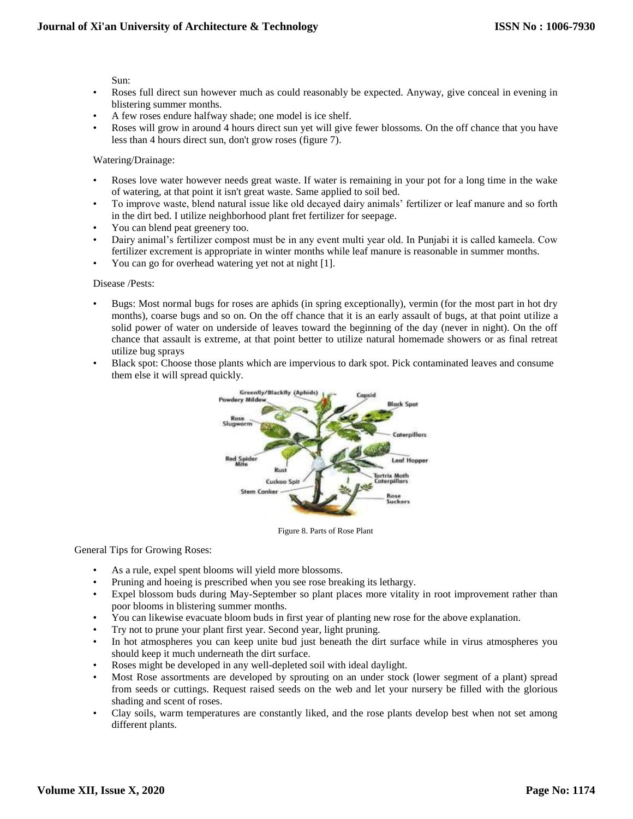Sun:

- Roses full direct sun however much as could reasonably be expected. Anyway, give conceal in evening in blistering summer months.
- A few roses endure halfway shade; one model is ice shelf.
- Roses will grow in around 4 hours direct sun yet will give fewer blossoms. On the off chance that you have less than 4 hours direct sun, don't grow roses (figure 7).

# Watering/Drainage:

- Roses love water however needs great waste. If water is remaining in your pot for a long time in the wake of watering, at that point it isn't great waste. Same applied to soil bed.
- To improve waste, blend natural issue like old decayed dairy animals' fertilizer or leaf manure and so forth in the dirt bed. I utilize neighborhood plant fret fertilizer for seepage.
- You can blend peat greenery too.
- Dairy animal's fertilizer compost must be in any event multi year old. In Punjabi it is called kameela. Cow fertilizer excrement is appropriate in winter months while leaf manure is reasonable in summer months.
- You can go for overhead watering yet not at night [1].

#### Disease /Pests:

- Bugs: Most normal bugs for roses are aphids (in spring exceptionally), vermin (for the most part in hot dry months), coarse bugs and so on. On the off chance that it is an early assault of bugs, at that point utilize a solid power of water on underside of leaves toward the beginning of the day (never in night). On the off chance that assault is extreme, at that point better to utilize natural homemade showers or as final retreat utilize bug sprays
- Black spot: Choose those plants which are impervious to dark spot. Pick contaminated leaves and consume them else it will spread quickly.



Figure 8. Parts of Rose Plant

#### General Tips for Growing Roses:

- As a rule, expel spent blooms will yield more blossoms.
- Pruning and hoeing is prescribed when you see rose breaking its lethargy.
- Expel blossom buds during May-September so plant places more vitality in root improvement rather than poor blooms in blistering summer months.
- You can likewise evacuate bloom buds in first year of planting new rose for the above explanation.
- Try not to prune your plant first year. Second year, light pruning.
- In hot atmospheres you can keep unite bud just beneath the dirt surface while in virus atmospheres you should keep it much underneath the dirt surface.
- Roses might be developed in any well-depleted soil with ideal daylight.
- Most Rose assortments are developed by sprouting on an under stock (lower segment of a plant) spread from seeds or cuttings. Request raised seeds on the web and let your nursery be filled with the glorious shading and scent of roses.
- Clay soils, warm temperatures are constantly liked, and the rose plants develop best when not set among different plants.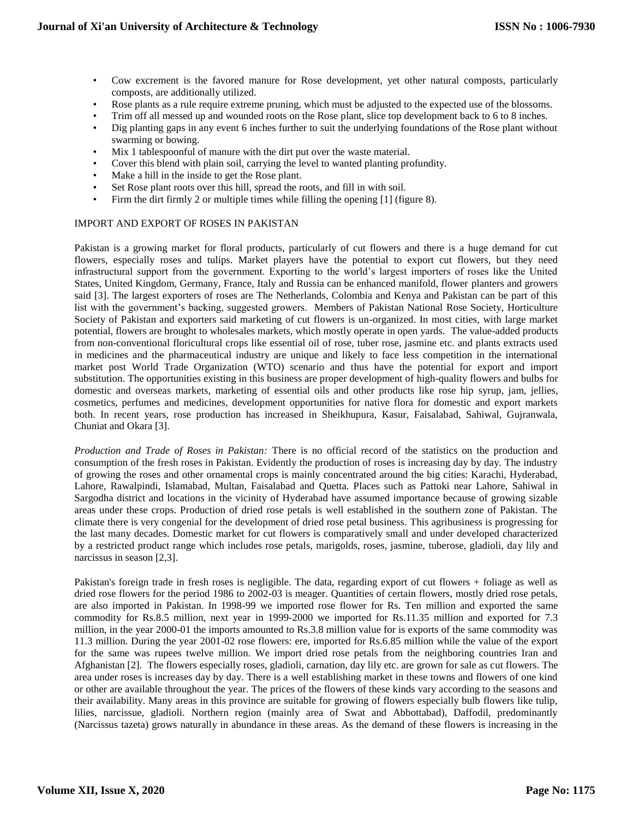- Cow excrement is the favored manure for Rose development, yet other natural composts, particularly composts, are additionally utilized.
- Rose plants as a rule require extreme pruning, which must be adjusted to the expected use of the blossoms.
- Trim off all messed up and wounded roots on the Rose plant, slice top development back to 6 to 8 inches.
- Dig planting gaps in any event 6 inches further to suit the underlying foundations of the Rose plant without swarming or bowing.
- Mix 1 tablespoonful of manure with the dirt put over the waste material.
- Cover this blend with plain soil, carrying the level to wanted planting profundity.
- Make a hill in the inside to get the Rose plant.
- Set Rose plant roots over this hill, spread the roots, and fill in with soil.
- Firm the dirt firmly 2 or multiple times while filling the opening [1] (figure 8).

# IMPORT AND EXPORT OF ROSES IN PAKISTAN

Pakistan is a growing market for floral products, particularly of cut flowers and there is a huge demand for cut flowers, especially roses and tulips. Market players have the potential to export cut flowers, but they need infrastructural support from the government. Exporting to the world's largest importers of roses like the United States, United Kingdom, Germany, France, Italy and Russia can be enhanced manifold, flower planters and growers said [3]. The largest exporters of roses are The Netherlands, Colombia and Kenya and Pakistan can be part of this list with the government's backing, suggested growers. Members of Pakistan National Rose Society, Horticulture Society of Pakistan and exporters said marketing of cut flowers is un-organized. In most cities, with large market potential, flowers are brought to wholesales markets, which mostly operate in open yards. The value-added products from non-conventional floricultural crops like essential oil of rose, tuber rose, jasmine etc. and plants extracts used in medicines and the pharmaceutical industry are unique and likely to face less competition in the international market post World Trade Organization (WTO) scenario and thus have the potential for export and import substitution. The opportunities existing in this business are proper development of high-quality flowers and bulbs for domestic and overseas markets, marketing of essential oils and other products like rose hip syrup, jam, jellies, cosmetics, perfumes and medicines, development opportunities for native flora for domestic and export markets both. In recent years, rose production has increased in Sheikhupura, Kasur, Faisalabad, Sahiwal, Gujranwala, Chuniat and Okara [3].

*Production and Trade of Roses in Pakistan:* There is no official record of the statistics on the production and consumption of the fresh roses in Pakistan. Evidently the production of roses is increasing day by day. The industry of growing the roses and other ornamental crops is mainly concentrated around the big cities: Karachi, Hyderabad, Lahore, Rawalpindi, Islamabad, Multan, Faisalabad and Quetta. Places such as Pattoki near Lahore, Sahiwal in Sargodha district and locations in the vicinity of Hyderabad have assumed importance because of growing sizable areas under these crops. Production of dried rose petals is well established in the southern zone of Pakistan. The climate there is very congenial for the development of dried rose petal business. This agribusiness is progressing for the last many decades. Domestic market for cut flowers is comparatively small and under developed characterized by a restricted product range which includes rose petals, marigolds, roses, jasmine, tuberose, gladioli, day lily and narcissus in season [2,3].

Pakistan's foreign trade in fresh roses is negligible. The data, regarding export of cut flowers + foliage as well as dried rose flowers for the period 1986 to 2002-03 is meager. Quantities of certain flowers, mostly dried rose petals, are also imported in Pakistan. In 1998-99 we imported rose flower for Rs. Ten million and exported the same commodity for Rs.8.5 million, next year in 1999-2000 we imported for Rs.11.35 million and exported for 7.3 million, in the year 2000-01 the imports amounted to Rs.3.8 million value for is exports of the same commodity was 11.3 million. During the year 2001-02 rose flowers: ere, imported for Rs.6.85 million while the value of the export for the same was rupees twelve million. We import dried rose petals from the neighboring countries Iran and Afghanistan [2]. The flowers especially roses, gladioli, carnation, day lily etc. are grown for sale as cut flowers. The area under roses is increases day by day. There is a well establishing market in these towns and flowers of one kind or other are available throughout the year. The prices of the flowers of these kinds vary according to the seasons and their availability. Many areas in this province are suitable for growing of flowers especially bulb flowers like tulip, lilies, narcissue, gladioli. Northern region (mainly area of Swat and Abbottabad), Daffodil, predominantly (Narcissus tazeta) grows naturally in abundance in these areas. As the demand of these flowers is increasing in the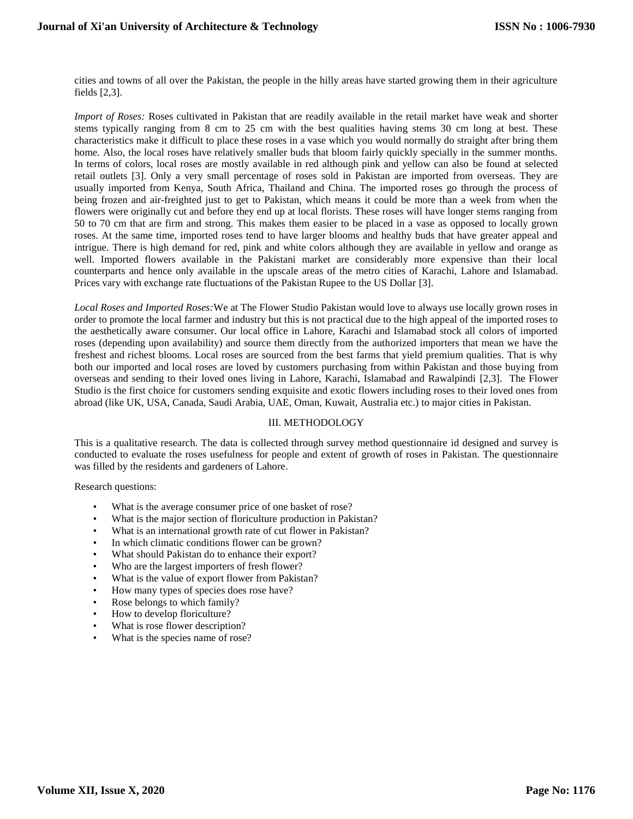cities and towns of all over the Pakistan, the people in the hilly areas have started growing them in their agriculture fields [2,3].

*Import of Roses:* Roses cultivated in Pakistan that are readily available in the retail market have weak and shorter stems typically ranging from 8 cm to 25 cm with the best qualities having stems 30 cm long at best. These characteristics make it difficult to place these roses in a vase which you would normally do straight after bring them home. Also, the local roses have relatively smaller buds that bloom fairly quickly specially in the summer months. In terms of colors, local roses are mostly available in red although pink and yellow can also be found at selected retail outlets [3]. Only a very small percentage of roses sold in Pakistan are imported from overseas. They are usually imported from Kenya, South Africa, Thailand and China. The imported roses go through the process of being frozen and air-freighted just to get to Pakistan, which means it could be more than a week from when the flowers were originally cut and before they end up at local florists. These roses will have longer stems ranging from 50 to 70 cm that are firm and strong. This makes them easier to be placed in a vase as opposed to locally grown roses. At the same time, imported roses tend to have larger blooms and healthy buds that have greater appeal and intrigue. There is high demand for red, pink and white colors although they are available in yellow and orange as well. Imported flowers available in the Pakistani market are considerably more expensive than their local counterparts and hence only available in the upscale areas of the metro cities of Karachi, Lahore and Islamabad. Prices vary with exchange rate fluctuations of the Pakistan Rupee to the US Dollar [3].

*Local Roses and Imported Roses:*We at The Flower Studio Pakistan would love to always use locally grown roses in order to promote the local farmer and industry but this is not practical due to the high appeal of the imported roses to the aesthetically aware consumer. Our local office in Lahore, Karachi and Islamabad stock all colors of imported roses (depending upon availability) and source them directly from the authorized importers that mean we have the freshest and richest blooms. Local roses are sourced from the best farms that yield premium qualities. That is why both our imported and local roses are loved by customers purchasing from within Pakistan and those buying from overseas and sending to their loved ones living in Lahore, Karachi, Islamabad and Rawalpindi [2,3]. The Flower Studio is the first choice for customers sending exquisite and exotic flowers including roses to their loved ones from abroad (like UK, USA, Canada, Saudi Arabia, UAE, Oman, Kuwait, Australia etc.) to major cities in Pakistan.

#### III. METHODOLOGY

This is a qualitative research. The data is collected through survey method questionnaire id designed and survey is conducted to evaluate the roses usefulness for people and extent of growth of roses in Pakistan. The questionnaire was filled by the residents and gardeners of Lahore.

Research questions:

- What is the average consumer price of one basket of rose?
- What is the major section of floriculture production in Pakistan?
- What is an international growth rate of cut flower in Pakistan?
- In which climatic conditions flower can be grown?
- What should Pakistan do to enhance their export?
- Who are the largest importers of fresh flower?
- What is the value of export flower from Pakistan?
- How many types of species does rose have?
- Rose belongs to which family?
- How to develop floriculture?
- What is rose flower description?
- What is the species name of rose?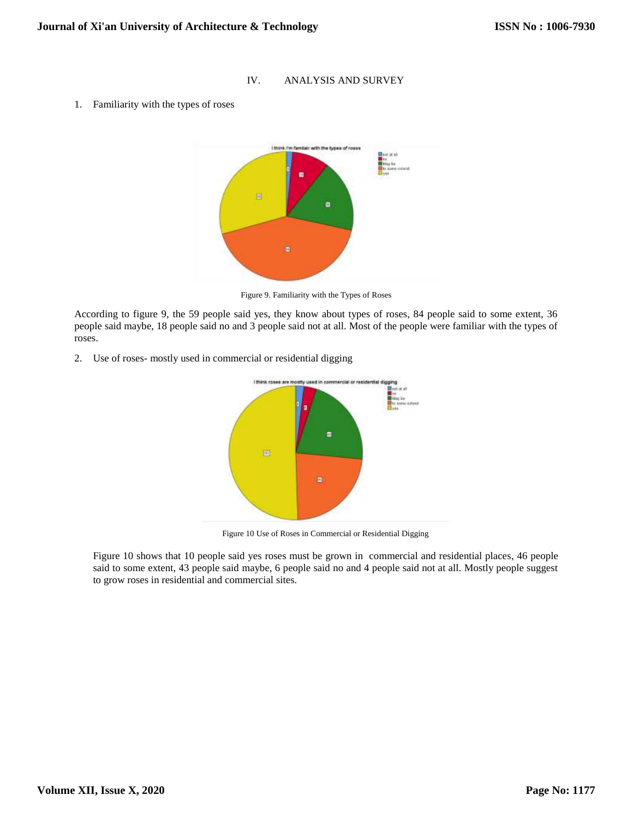# IV. ANALYSIS AND SURVEY

1. Familiarity with the types of roses



Figure 9. Familiarity with the Types of Roses

According to figure 9, the 59 people said yes, they know about types of roses, 84 people said to some extent, 36 people said maybe, 18 people said no and 3 people said not at all. Most of the people were familiar with the types of roses.

2. Use of roses- mostly used in commercial or residential digging



Figure 10 Use of Roses in Commercial or Residential Digging

Figure 10 shows that 10 people said yes roses must be grown in commercial and residential places, 46 people said to some extent, 43 people said maybe, 6 people said no and 4 people said not at all. Mostly people suggest to grow roses in residential and commercial sites.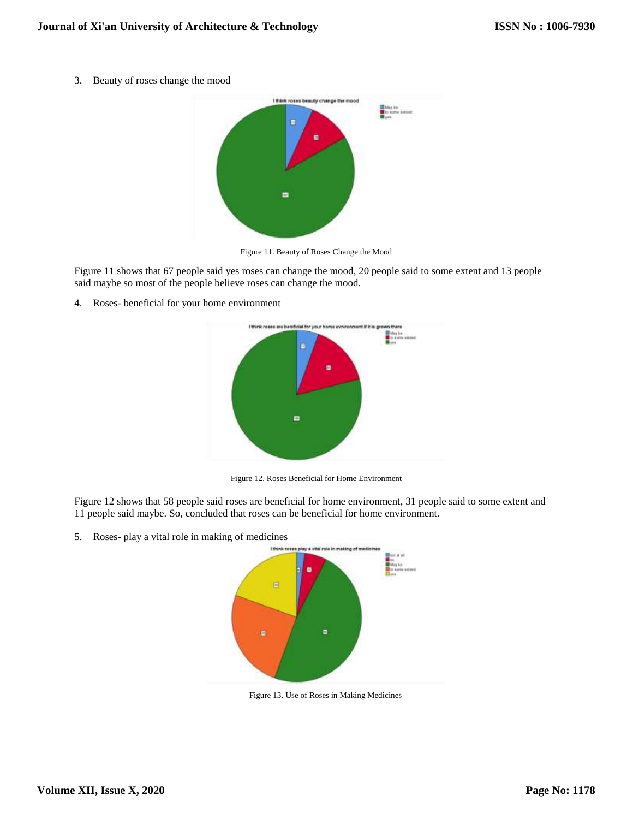3. Beauty of roses change the mood



Figure 11. Beauty of Roses Change the Mood

Figure 11 shows that 67 people said yes roses can change the mood, 20 people said to some extent and 13 people said maybe so most of the people believe roses can change the mood.

4. Roses- beneficial for your home environment



Figure 12. Roses Beneficial for Home Environment

Figure 12 shows that 58 people said roses are beneficial for home environment, 31 people said to some extent and 11 people said maybe. So, concluded that roses can be beneficial for home environment.

5. Roses- play a vital role in making of medicines



Figure 13. Use of Roses in Making Medicines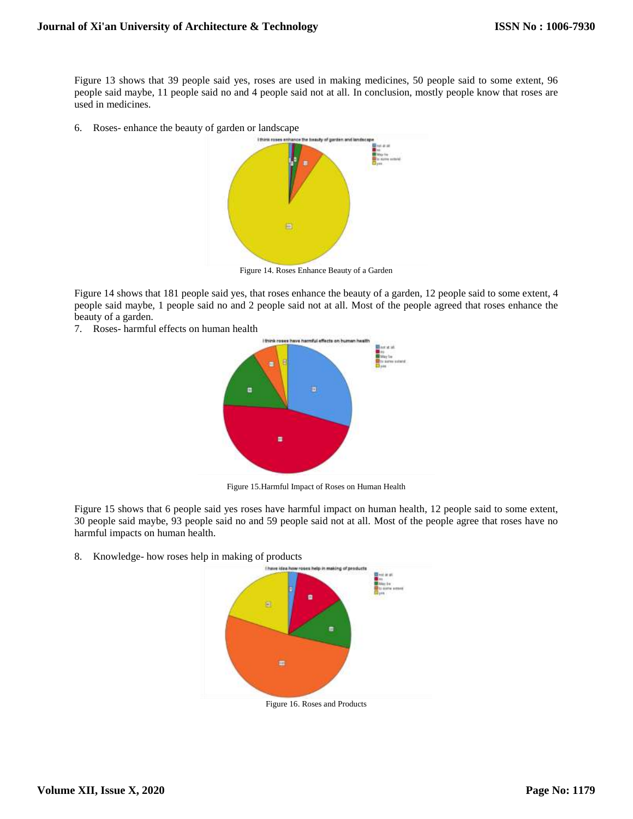Figure 13 shows that 39 people said yes, roses are used in making medicines, 50 people said to some extent, 96 people said maybe, 11 people said no and 4 people said not at all. In conclusion, mostly people know that roses are used in medicines.

6. Roses- enhance the beauty of garden or landscape



Figure 14. Roses Enhance Beauty of a Garden

Figure 14 shows that 181 people said yes, that roses enhance the beauty of a garden, 12 people said to some extent, 4 people said maybe, 1 people said no and 2 people said not at all. Most of the people agreed that roses enhance the beauty of a garden.

7. Roses- harmful effects on human health



Figure 15.Harmful Impact of Roses on Human Health

Figure 15 shows that 6 people said yes roses have harmful impact on human health, 12 people said to some extent, 30 people said maybe, 93 people said no and 59 people said not at all. Most of the people agree that roses have no harmful impacts on human health.

8. Knowledge- how roses help in making of products



Figure 16. Roses and Products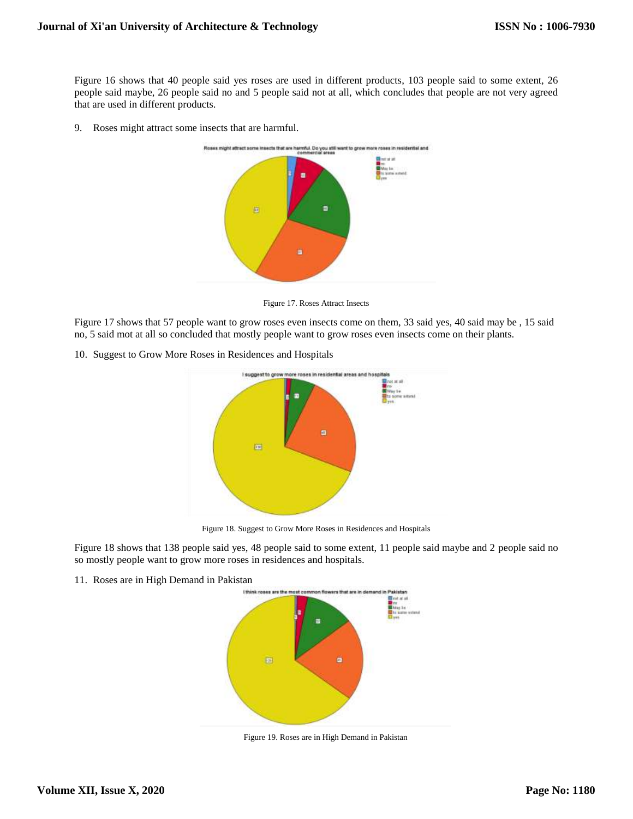Figure 16 shows that 40 people said yes roses are used in different products, 103 people said to some extent, 26 people said maybe, 26 people said no and 5 people said not at all, which concludes that people are not very agreed that are used in different products.

9. Roses might attract some insects that are harmful.



Figure 17. Roses Attract Insects

Figure 17 shows that 57 people want to grow roses even insects come on them, 33 said yes, 40 said may be , 15 said no, 5 said mot at all so concluded that mostly people want to grow roses even insects come on their plants.

10. Suggest to Grow More Roses in Residences and Hospitals



Figure 18. Suggest to Grow More Roses in Residences and Hospitals

Figure 18 shows that 138 people said yes, 48 people said to some extent, 11 people said maybe and 2 people said no so mostly people want to grow more roses in residences and hospitals.

11. Roses are in High Demand in Pakistan



Figure 19. Roses are in High Demand in Pakistan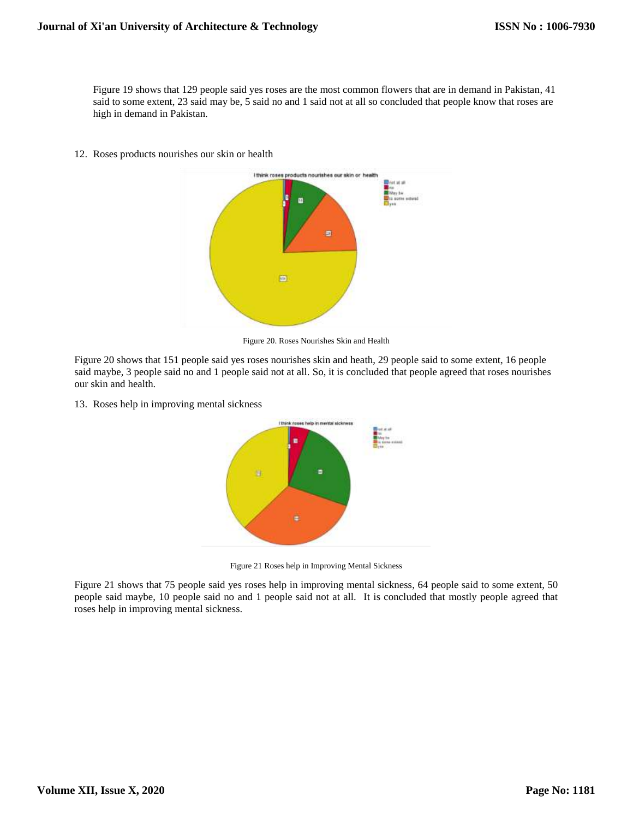Figure 19 shows that 129 people said yes roses are the most common flowers that are in demand in Pakistan, 41 said to some extent, 23 said may be, 5 said no and 1 said not at all so concluded that people know that roses are high in demand in Pakistan.

12. Roses products nourishes our skin or health



Figure 20. Roses Nourishes Skin and Health

Figure 20 shows that 151 people said yes roses nourishes skin and heath, 29 people said to some extent, 16 people said maybe, 3 people said no and 1 people said not at all. So, it is concluded that people agreed that roses nourishes our skin and health.

13. Roses help in improving mental sickness



Figure 21 Roses help in Improving Mental Sickness

Figure 21 shows that 75 people said yes roses help in improving mental sickness, 64 people said to some extent, 50 people said maybe, 10 people said no and 1 people said not at all. It is concluded that mostly people agreed that roses help in improving mental sickness.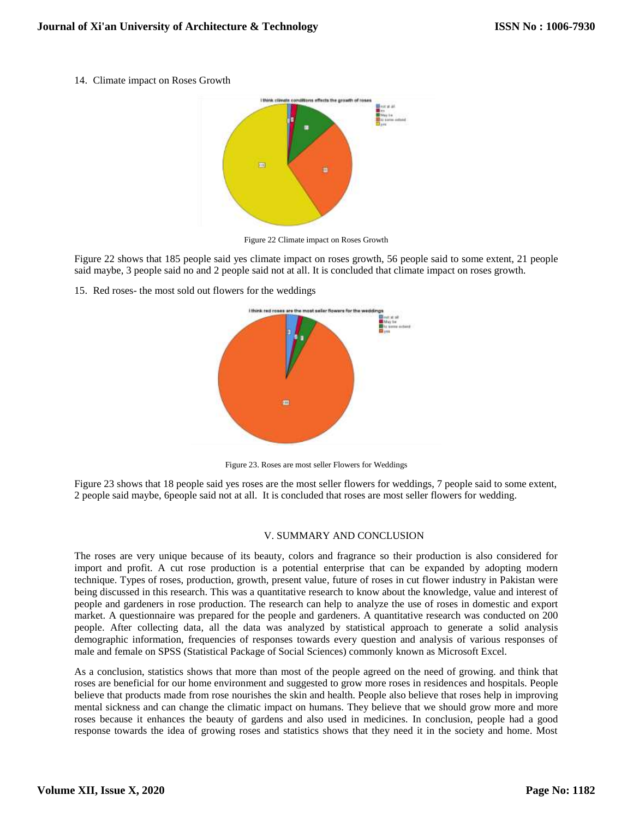14. Climate impact on Roses Growth



Figure 22 Climate impact on Roses Growth

Figure 22 shows that 185 people said yes climate impact on roses growth, 56 people said to some extent, 21 people said maybe, 3 people said no and 2 people said not at all. It is concluded that climate impact on roses growth.

15. Red roses- the most sold out flowers for the weddings



Figure 23. Roses are most seller Flowers for Weddings

Figure 23 shows that 18 people said yes roses are the most seller flowers for weddings, 7 people said to some extent, 2 people said maybe, 6people said not at all. It is concluded that roses are most seller flowers for wedding.

#### V. SUMMARY AND CONCLUSION

The roses are very unique because of its beauty, colors and fragrance so their production is also considered for import and profit. A cut rose production is a potential enterprise that can be expanded by adopting modern technique. Types of roses, production, growth, present value, future of roses in cut flower industry in Pakistan were being discussed in this research. This was a quantitative research to know about the knowledge, value and interest of people and gardeners in rose production. The research can help to analyze the use of roses in domestic and export market. A questionnaire was prepared for the people and gardeners. A quantitative research was conducted on 200 people. After collecting data, all the data was analyzed by statistical approach to generate a solid analysis demographic information, frequencies of responses towards every question and analysis of various responses of male and female on SPSS (Statistical Package of Social Sciences) commonly known as Microsoft Excel.

As a conclusion, statistics shows that more than most of the people agreed on the need of growing. and think that roses are beneficial for our home environment and suggested to grow more roses in residences and hospitals. People believe that products made from rose nourishes the skin and health. People also believe that roses help in improving mental sickness and can change the climatic impact on humans. They believe that we should grow more and more roses because it enhances the beauty of gardens and also used in medicines. In conclusion, people had a good response towards the idea of growing roses and statistics shows that they need it in the society and home. Most